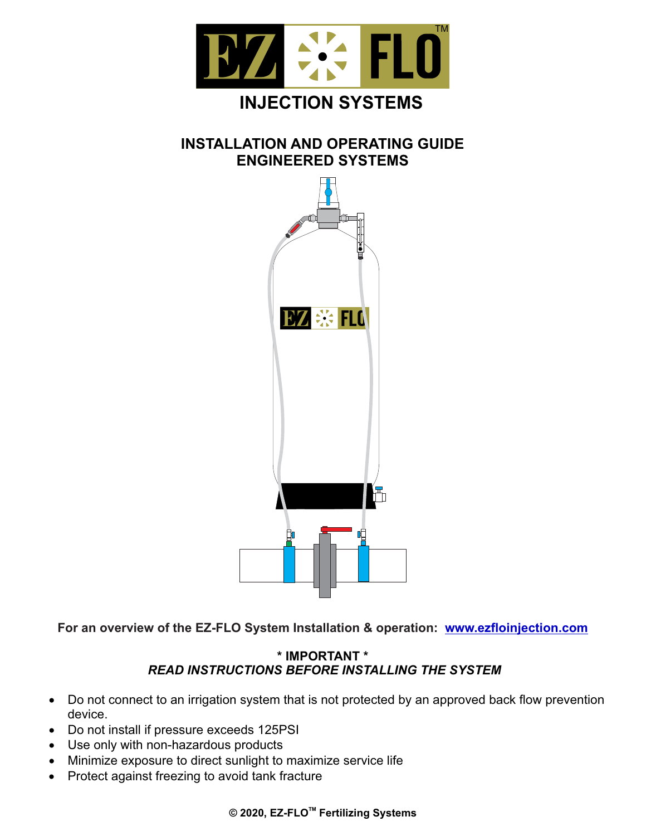

# **INSTALLATION AND OPERATING GUIDE ENGINEERED SYSTEMS**



**For an overview of the EZ-FLO System Installation & operation: www.ezfloinjection.com**

### *READ INSTRUCTIONS BEFORE INSTALLING THE SYSTEM*  **\* IMPORTANT \***

- Do not connect to an irrigation system that is not protected by an approved back flow prevention device.
- · Do not install if pressure exceeds 125PSI
- · Use only with non-hazardous products
- · Minimize exposure to direct sunlight to maximize service life
- · Protect against freezing to avoid tank fracture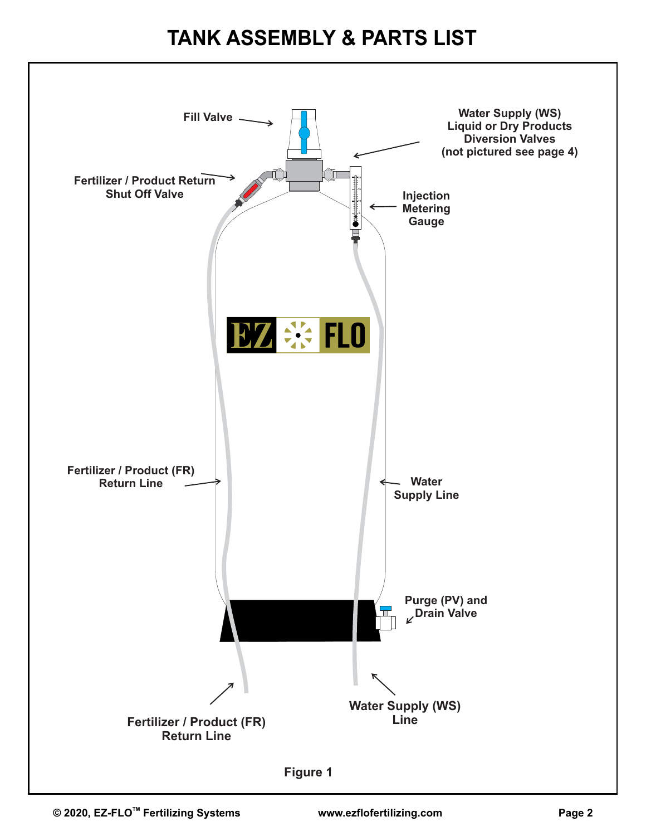# **TANK ASSEMBLY & PARTS LIST**

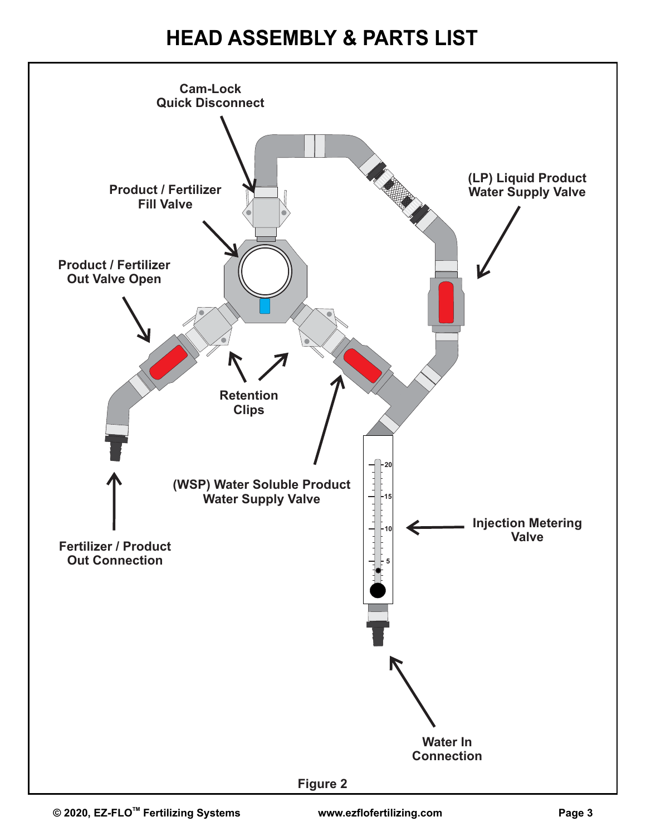# **HEAD ASSEMBLY & PARTS LIST**

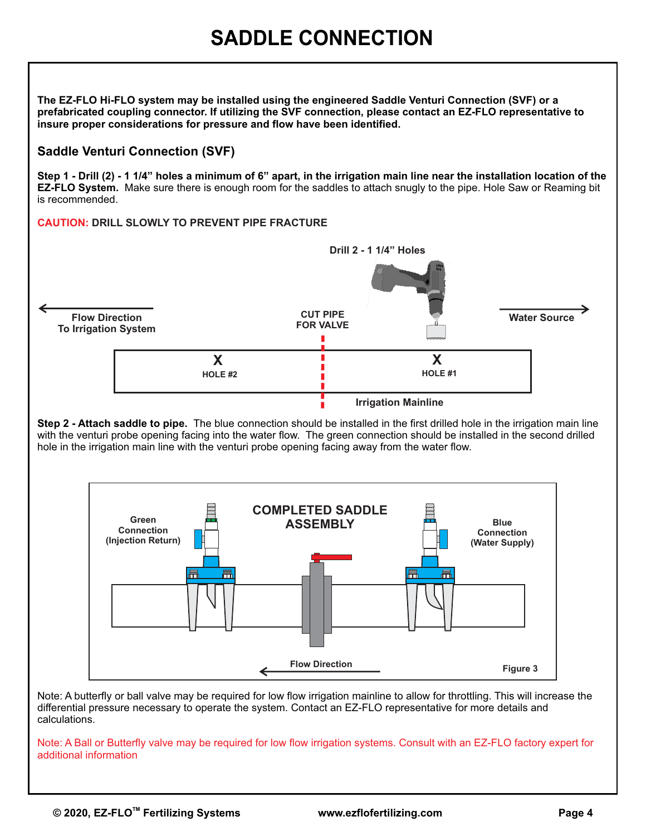**The EZ-FLO Hi-FLO system may be installed using the engineered Saddle Venturi Connection (SVF) or a prefabricated coupling connector. If utilizing the SVF connection, please contact an EZ-FLO representative to insure proper considerations for pressure and flow have been identified.** 

### **Saddle Venturi Connection (SVF)**

**Step 1 - Drill (2) - 1 1/4" holes a minimum of 6" apart, in the irrigation main line near the installation location of the EZ-FLO System.** Make sure there is enough room for the saddles to attach snugly to the pipe. Hole Saw or Reaming bit is recommended.

### **CAUTION: DRILL SLOWLY TO PREVENT PIPE FRACTURE**



**Step 2 - Attach saddle to pipe.** The blue connection should be installed in the first drilled hole in the irrigation main line with the venturi probe opening facing into the water flow. The green connection should be installed in the second drilled hole in the irrigation main line with the venturi probe opening facing away from the water flow.



Note: A butterfly or ball valve may be required for low flow irrigation mainline to allow for throttling. This will increase the differential pressure necessary to operate the system. Contact an EZ-FLO representative for more details and calculations.

Note: A Ball or Butterfly valve may be required for low flow irrigation systems. Consult with an EZ-FLO factory expert for additional information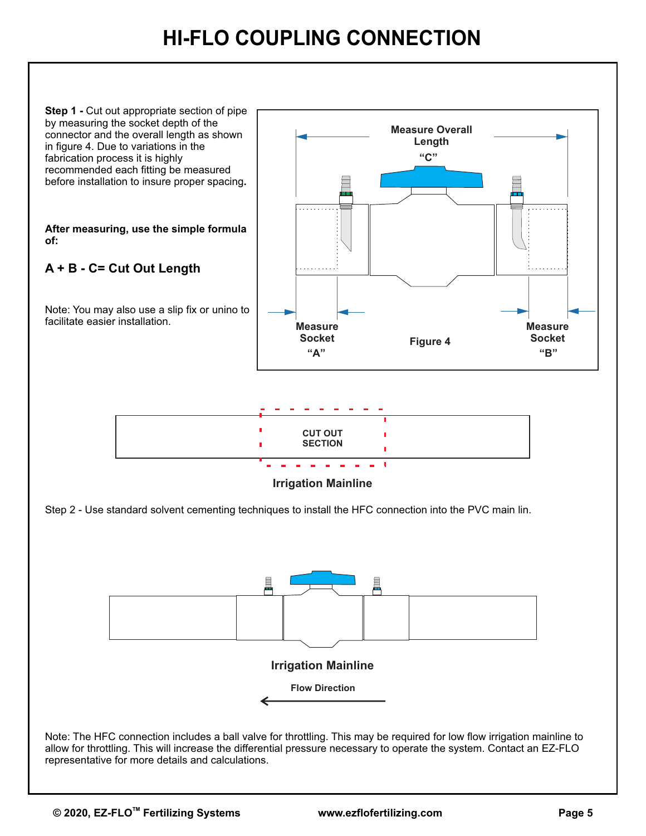# **HI-FLO COUPLING CONNECTION**

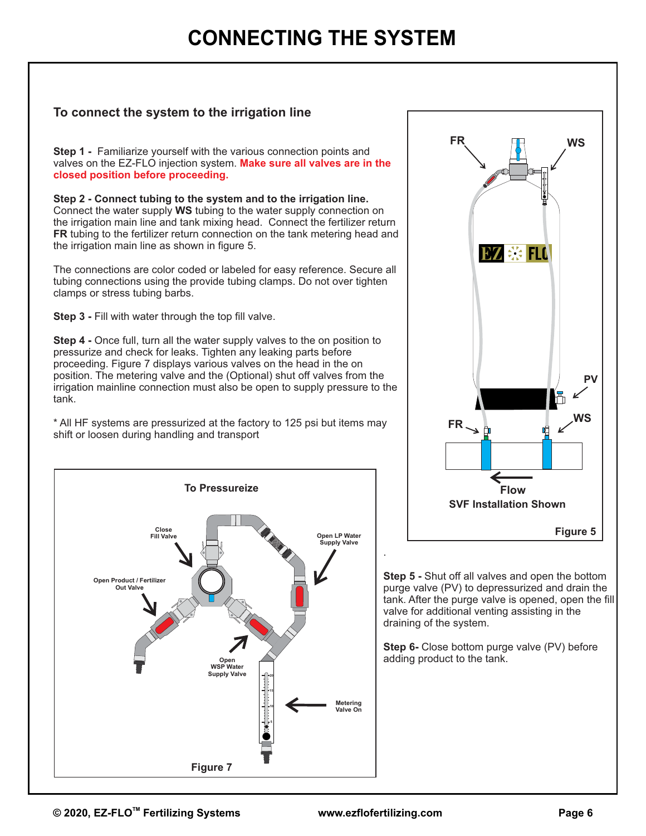# **CONNECTING THE SYSTEM**

### **To connect the system to the irrigation line**

**Step 1 -** Familiarize yourself with the various connection points and valves on the EZ-FLO injection system. **Make sure all valves are in the closed position before proceeding.** 

**Step 2 - Connect tubing to the system and to the irrigation line.**  Connect the water supply **WS** tubing to the water supply connection on the irrigation main line and tank mixing head. Connect the fertilizer return **FR** tubing to the fertilizer return connection on the tank metering head and the irrigation main line as shown in figure 5.

The connections are color coded or labeled for easy reference. Secure all tubing connections using the provide tubing clamps. Do not over tighten clamps or stress tubing barbs.

**Step 3 - Fill with water through the top fill valve.** 

**Step 4 -** Once full, turn all the water supply valves to the on position to pressurize and check for leaks. Tighten any leaking parts before proceeding. Figure 7 displays various valves on the head in the on position. The metering valve and the (Optional) shut off valves from the irrigation mainline connection must also be open to supply pressure to the tank.

\* All HF systems are pressurized at the factory to 125 psi but items may shift or loosen during handling and transport





**Step 5 -** Shut off all valves and open the bottom purge valve (PV) to depressurized and drain the tank. After the purge valve is opened, open the fill valve for additional venting assisting in the draining of the system.

**Step 6-** Close bottom purge valve (PV) before adding product to the tank.

.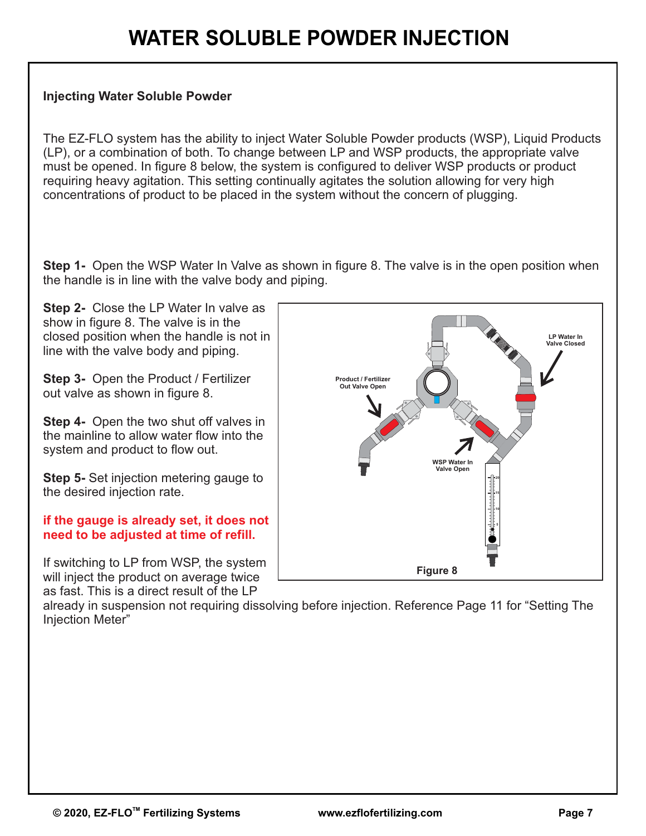### **Injecting Water Soluble Powder**

The EZ-FLO system has the ability to inject Water Soluble Powder products (WSP), Liquid Products (LP), or a combination of both. To change between LP and WSP products, the appropriate valve must be opened. In figure 8 below, the system is configured to deliver WSP products or product requiring heavy agitation. This setting continually agitates the solution allowing for very high concentrations of product to be placed in the system without the concern of plugging.

**Step 1-** Open the WSP Water In Valve as shown in figure 8. The valve is in the open position when the handle is in line with the valve body and piping.

**Step 2-** Close the LP Water In valve as show in figure 8. The valve is in the closed position when the handle is not in line with the valve body and piping.

**Step 3-** Open the Product / Fertilizer out valve as shown in figure 8.

**Step 4-** Open the two shut off valves in the mainline to allow water flow into the system and product to flow out.

**Step 5- Set injection metering gauge to** the desired injection rate.

### **if the gauge is already set, it does not need to be adjusted at time of refill.**

If switching to LP from WSP, the system will inject the product on average twice as fast. This is a direct result of the LP



already in suspension not requiring dissolving before injection. Reference Page 11 for "Setting The Injection Meter"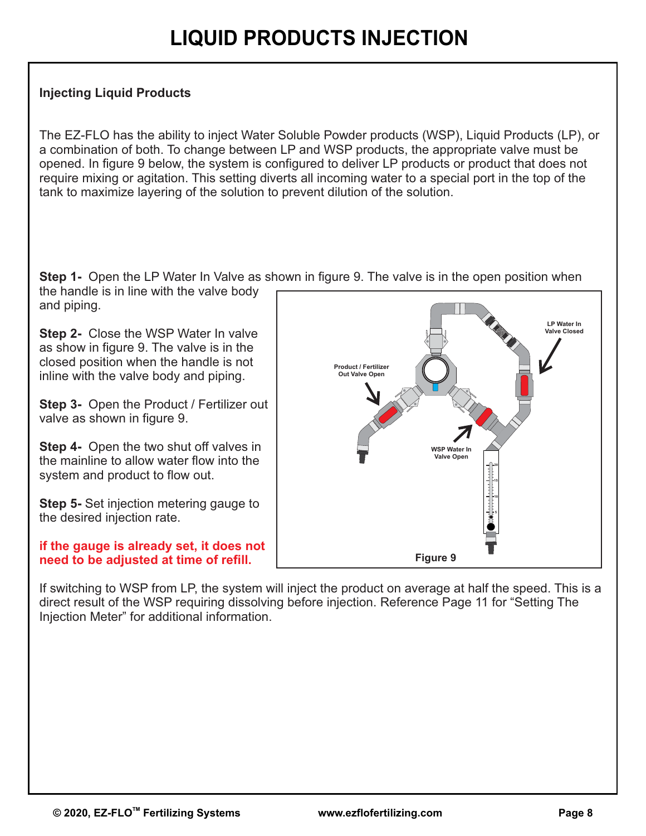# **Injecting Liquid Products**

The EZ-FLO has the ability to inject Water Soluble Powder products (WSP), Liquid Products (LP), or a combination of both. To change between LP and WSP products, the appropriate valve must be opened. In figure 9 below, the system is configured to deliver LP products or product that does not require mixing or agitation. This setting diverts all incoming water to a special port in the top of the tank to maximize layering of the solution to prevent dilution of the solution.

**Step 1-** Open the LP Water In Valve as shown in figure 9. The valve is in the open position when

the handle is in line with the valve body and piping.

**Step 2-** Close the WSP Water In valve as show in figure 9. The valve is in the closed position when the handle is not inline with the valve body and piping.

**Step 3-** Open the Product / Fertilizer out valve as shown in figure 9.

**Step 4-** Open the two shut off valves in the mainline to allow water flow into the system and product to flow out.

**Step 5-** Set injection metering gauge to the desired injection rate.

### **if the gauge is already set, it does not need to be adjusted at time of refill.**



If switching to WSP from LP, the system will inject the product on average at half the speed. This is a direct result of the WSP requiring dissolving before injection. Reference Page 11 for "Setting The Injection Meter" for additional information.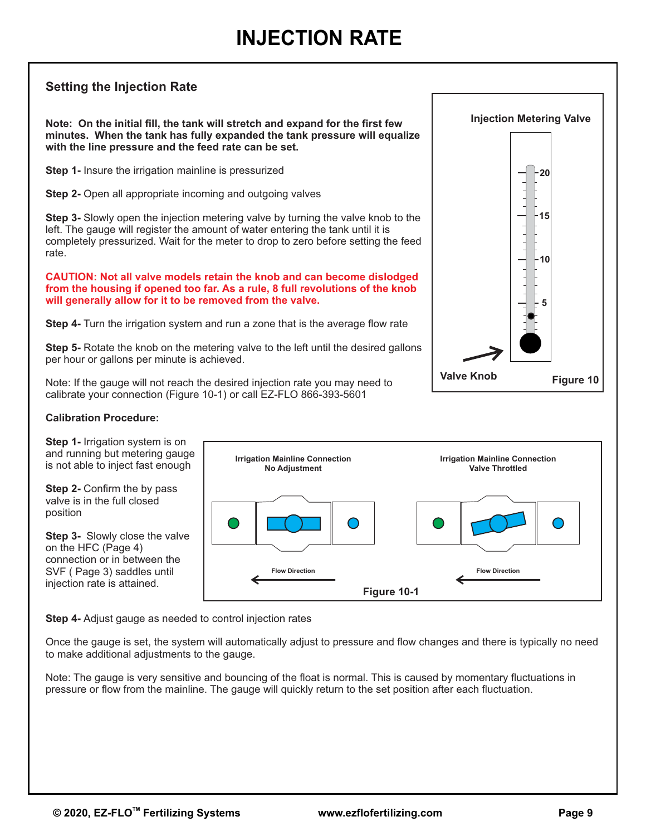# **Setting the Injection Rate**

**Note: On the initial fill, the tank will stretch and expand for the first few minutes. When the tank has fully expanded the tank pressure will equalize with the line pressure and the feed rate can be set.**

**Step 1-** Insure the irrigation mainline is pressurized

**Step 2-** Open all appropriate incoming and outgoing valves

**Step 3-** Slowly open the injection metering valve by turning the valve knob to the left. The gauge will register the amount of water entering the tank until it is completely pressurized. Wait for the meter to drop to zero before setting the feed rate.

**CAUTION: Not all valve models retain the knob and can become dislodged from the housing if opened too far. As a rule, 8 full revolutions of the knob will generally allow for it to be removed from the valve.**

**Step 4-** Turn the irrigation system and run a zone that is the average flow rate

**Step 5-** Rotate the knob on the metering valve to the left until the desired gallons per hour or gallons per minute is achieved.

Note: If the gauge will not reach the desired injection rate you may need to calibrate your connection (Figure 10-1) or call EZ-FLO 866-393-5601

#### **Calibration Procedure:**

**Step 1-** Irrigation system is on and running but metering gauge is not able to inject fast enough

**Step 2- Confirm the by pass** valve is in the full closed position

**Step 3-** Slowly close the valve on the HFC (Page 4) connection or in between the SVF ( Page 3) saddles until injection rate is attained.



**Step 4-** Adjust gauge as needed to control injection rates

Once the gauge is set, the system will automatically adjust to pressure and flow changes and there is typically no need to make additional adjustments to the gauge.

pressure or flow from the mainline. The gauge will quickly return to the set position after each fluctuation. Note: The gauge is very sensitive and bouncing of the float is normal. This is caused by momentary fluctuations in

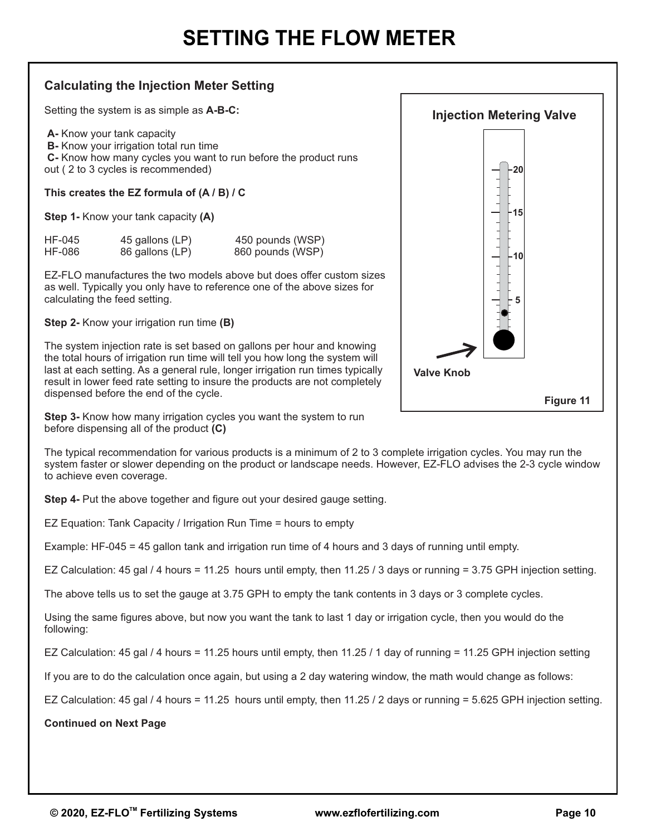## **Calculating the Injection Meter Setting**

Setting the system is as simple as **A-B-C:**

 **B-** Know your irrigation total run time  **C-** Know how many cycles you want to run before the product runs out ( 2 to 3 cycles is recommended) **A-** Know your tank capacity

**This creates the EZ formula of (A / B) / C**

**Step 1-** Know your tank capacity **(A)**

| HF-045 | 45 gallons (LP) | 450 pounds (WSP) |
|--------|-----------------|------------------|
| HF-086 | 86 gallons (LP) | 860 pounds (WSP) |

EZ-FLO manufactures the two models above but does offer custom sizes as well. Typically you only have to reference one of the above sizes for calculating the feed setting.

**Step 2-** Know your irrigation run time **(B)**

The system injection rate is set based on gallons per hour and knowing the total hours of irrigation run time will tell you how long the system will last at each setting. As a general rule, longer irrigation run times typically result in lower feed rate setting to insure the products are not completely dispensed before the end of the cycle.



**Step 3-** Know how many irrigation cycles you want the system to run before dispensing all of the product **(C)**

The typical recommendation for various products is a minimum of 2 to 3 complete irrigation cycles. You may run the system faster or slower depending on the product or landscape needs. However, EZ-FLO advises the 2-3 cycle window to achieve even coverage.

**Step 4-** Put the above together and figure out your desired gauge setting.

EZ Equation: Tank Capacity / Irrigation Run Time = hours to empty

Example: HF-045 = 45 gallon tank and irrigation run time of 4 hours and 3 days of running until empty.

EZ Calculation: 45 gal / 4 hours = 11.25 hours until empty, then 11.25 / 3 days or running = 3.75 GPH injection setting.

The above tells us to set the gauge at 3.75 GPH to empty the tank contents in 3 days or 3 complete cycles.

Using the same figures above, but now you want the tank to last 1 day or irrigation cycle, then you would do the following:

EZ Calculation: 45 gal / 4 hours = 11.25 hours until empty, then 11.25 / 1 day of running = 11.25 GPH injection setting

If you are to do the calculation once again, but using a 2 day watering window, the math would change as follows:

EZ Calculation: 45 gal / 4 hours = 11.25 hours until empty, then 11.25 / 2 days or running = 5.625 GPH injection setting.

#### **Continued on Next Page**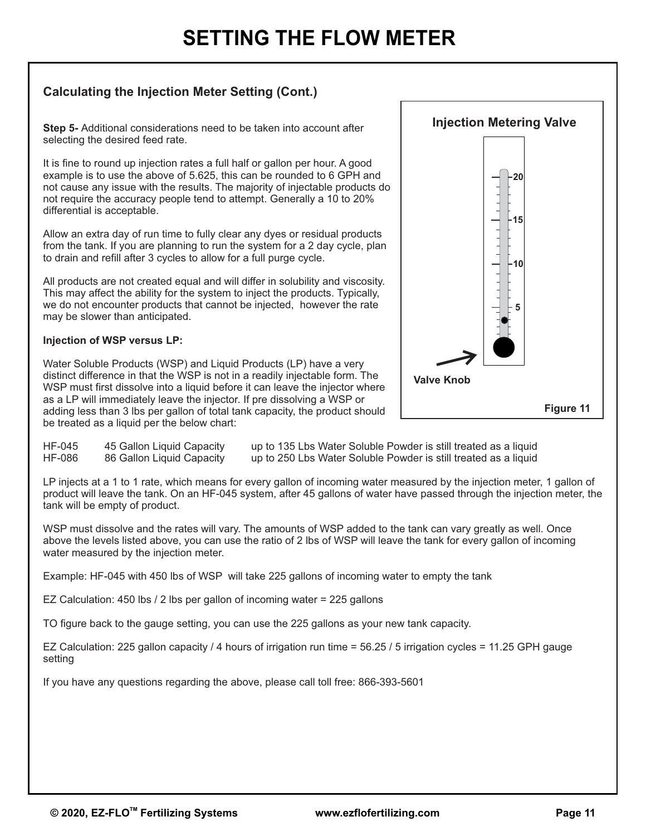# **SETTING THE FLOW METER**

# **Calculating the Injection Meter Setting (Cont.)**

**Step 5-** Additional considerations need to be taken into account after selecting the desired feed rate.

It is fine to round up injection rates a full half or gallon per hour. A good example is to use the above of 5.625, this can be rounded to 6 GPH and not cause any issue with the results. The majority of injectable products do not require the accuracy people tend to attempt. Generally a 10 to 20% differential is acceptable.

Allow an extra day of run time to fully clear any dyes or residual products from the tank. If you are planning to run the system for a 2 day cycle, plan to drain and refill after 3 cycles to allow for a full purge cycle.

All products are not created equal and will differ in solubility and viscosity. This may affect the ability for the system to inject the products. Typically, we do not encounter products that cannot be injected, however the rate may be slower than anticipated.

#### **Injection of WSP versus LP:**

Water Soluble Products (WSP) and Liquid Products (LP) have a very distinct difference in that the WSP is not in a readily injectable form. The WSP must first dissolve into a liquid before it can leave the injector where as a LP will immediately leave the injector. If pre dissolving a WSP or adding less than 3 lbs per gallon of total tank capacity, the product should be treated as a liquid per the below chart:



HF-045 45 Gallon Liquid Capacity up to 135 Lbs Water Soluble Powder is still treated as a liquid<br>HF-086 86 Gallon Liquid Capacity up to 250 Lbs Water Soluble Powder is still treated as a liquid 86 Gallon Liquid Capacity up to 250 Lbs Water Soluble Powder is still treated as a liquid

LP injects at a 1 to 1 rate, which means for every gallon of incoming water measured by the injection meter, 1 gallon of product will leave the tank. On an HF-045 system, after 45 gallons of water have passed through the injection meter, the tank will be empty of product.

WSP must dissolve and the rates will vary. The amounts of WSP added to the tank can vary greatly as well. Once above the levels listed above, you can use the ratio of 2 lbs of WSP will leave the tank for every gallon of incoming water measured by the injection meter.

Example: HF-045 with 450 lbs of WSP will take 225 gallons of incoming water to empty the tank

EZ Calculation: 450 lbs / 2 lbs per gallon of incoming water = 225 gallons

TO figure back to the gauge setting, you can use the 225 gallons as your new tank capacity.

EZ Calculation: 225 gallon capacity / 4 hours of irrigation run time = 56.25 / 5 irrigation cycles = 11.25 GPH gauge setting

If you have any questions regarding the above, please call toll free: 866-393-5601